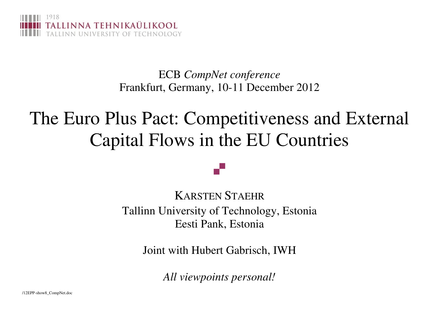

ECB *CompNet conference*Frankfurt, Germany, 10-11 December 2012

# The Euro Plus Pact: Competitiveness and External Capital Flows in the EU Countries

KARSTEN STAEHR Tallinn University of Technology, Estonia Eesti Pank, Estonia

a T

Joint with Hubert Gabrisch, IWH

*All viewpoints personal!*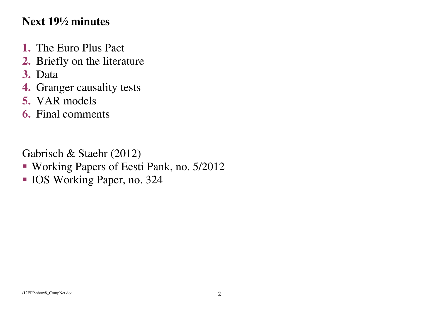## **Next 19½ minutes**

- **1.** The Euro Plus Pact
- **2.** Briefly on the literature
- **3.** Data
- **4.** Granger causality tests
- **5.** VAR models
- **6.** Final comments

Gabrisch & Staehr (2012)

- Working Papers of Eesti Pank, no. 5/2012
- **IOS Working Paper, no. 324**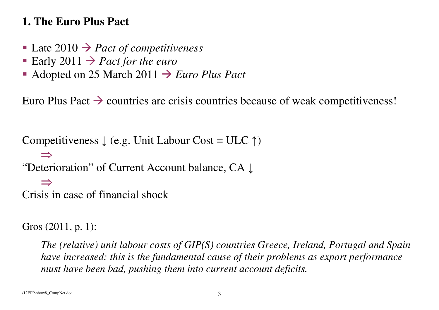## **1. The Euro Plus Pact**

- Late  $2010 \rightarrow$  *Pact of competitiveness*<br>■ Farly 2011  $\rightarrow$  *Pact for the euro*
- Early 2011  $\rightarrow$  *Pact for the euro*<br>Adopted on 25 March 2011  $\rightarrow$
- Adopted on 25 March 2011  $\rightarrow$  *Euro Plus Pact*

Euro Plus Pact  $\rightarrow$  countries are crisis countries because of weak competitiveness!

```
Competitiveness \downarrow (e.g. Unit Labour Cost = ULC \uparrow)
    ⇒
"Deterioration" of Current Account balance, CA ↓⇒
Crisis in case of financial shock
```

```
Gros (2011, p. 1):
```
*The (relative) unit labour costs of GIP(S) countries Greece, Ireland, Portugal and Spain have increased: this is the fundamental cause of their problems as export performance must have been bad, pushing them into current account deficits.*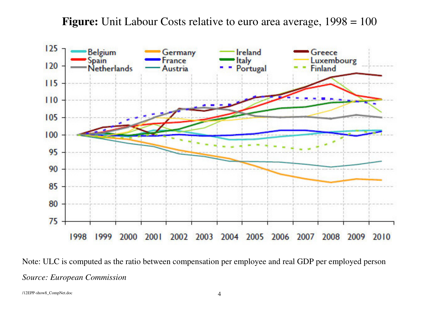**Figure:** Unit Labour Costs relative to euro area average, 1998 = 100



Note: ULC is computed as the ratio between compensation per employee and real GDP per employed person *Source: European Commission*

/12EPP-show8\_CompNet.doc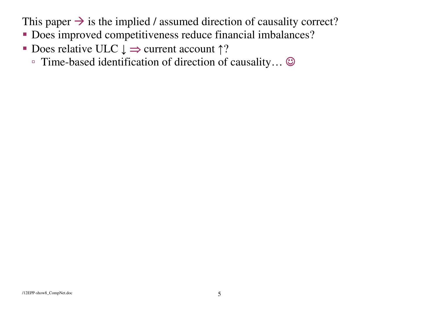This paper  $\rightarrow$  is the implied / assumed direction of causality correct?

- Does improved competitiveness reduce financial imbalances?
- Does relative ULC  $\downarrow \Rightarrow$  current account  $\uparrow$ ?
	- Time-based identification of direction of causality… ☺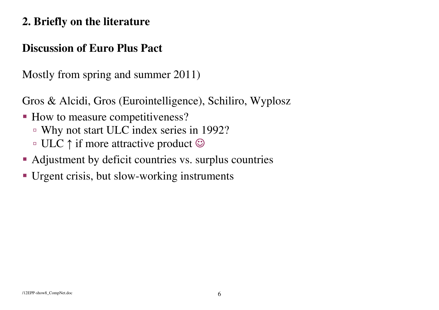## **2. Briefly on the literature**

#### **Discussion of Euro Plus Pact**

Mostly from spring and summer 2011)

Gros & Alcidi, Gros (Eurointelligence), Schiliro, Wyplosz

- How to measure competitiveness?
	- Why not start ULC index series in 1992?
	- ULC ↑ if more attractive product ☺
- Adjustment by deficit countries vs. surplus countries
- Urgent crisis, but slow-working instruments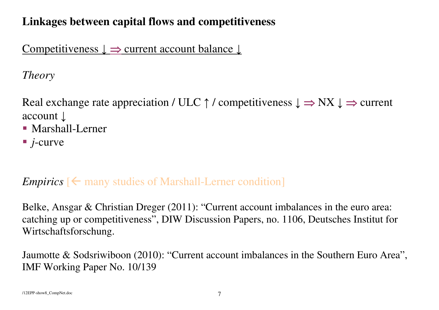## **Linkages between capital flows and competitiveness**

Competitiveness ↓ <sup>⇒</sup> current account balance ↓

*Theory*

Real exchange rate appreciation / ULC  $\uparrow$  / competitiveness  $\downarrow \Rightarrow$  NX  $\downarrow \Rightarrow$  current account ↓

- Marshall-Lerner
- *j*-curve

## *Empirics*  $\left[ \leftarrow \text{many studies of Marshall-Lerner condition} \right]$

Belke, Ansgar & Christian Dreger (2011): "Current account imbalances in the euro area: catching up or competitiveness", DIW Discussion Papers, no. 1106, Deutsches Institut for Wirtschaftsforschung.

Jaumotte & Sodsriwiboon (2010): "Current account imbalances in the Southern Euro Area", IMF Working Paper No. 10/139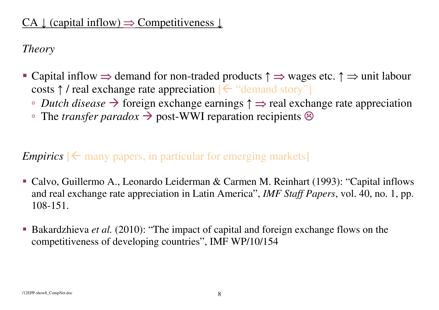## CA  $\downarrow$  (capital inflow)  $\Rightarrow$  Competitiveness  $\downarrow$

*Theory* 

- Capital inflow  $\Rightarrow$  demand for non-traded products  $\uparrow \Rightarrow$  wages etc.  $\uparrow \Rightarrow$  unit labour costs  $\uparrow$  / real exchange rate appreciation  $\left[ \leftarrow$  "demand story"
	- **□** *Dutch disease* → foreign exchange earnings  $\uparrow$  ⇒ real exchange rate appreciation <br>□ The *transfer parador* → post-WWI reparation recipients ®
	- The *transfer paradox* → post-WWI reparation recipients <sup>⊗</sup>

## *Empirics*  $\leq$  many papers, in particular for emerging markets

- Calvo, Guillermo A., Leonardo Leiderman & Carmen M. Reinhart (1993): "Capital inflows and real exchange rate appreciation in Latin America", *IMF Staff Papers*, vol. 40, no. 1, pp. 108-151.
- Bakardzhieva *et al.* (2010): "The impact of capital and foreign exchange flows on the competitiveness of developing countries", IMF WP/10/154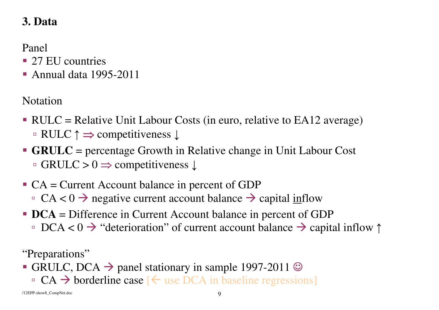## **3. Data**

Panel

- 27 EU countries
- Annual data 1995-2011

Notation

- RULC = Relative Unit Labour Costs (in euro, relative to EA12 average) ▫ RULC <sup>↑</sup> <sup>⇒</sup> competitiveness <sup>↓</sup>
- **GRULC** = percentage Growth in Relative change in Unit Labour Cost ▫ GRULC > 0 ⇒ competitiveness <sup>↓</sup>
- $CA = Current Account balance in percent of GDP$ □  $CA < 0$  → negative current account balance → capital inflow
- **DCA** = Difference in Current Account balance in percent of GDP □ DCA < 0  $\rightarrow$  "deterioration" of current account balance  $\rightarrow$  capital inflow  $\uparrow$

"Preparations"

- GRULC, DCA  $\rightarrow$  panel stationary in sample 1997-2011  $\odot$ 
	- $\Box$  CA  $\rightarrow$  borderline case [  $\leftarrow$  use DCA in baseline regressions]

/12EPP-show8\_CompNet.doc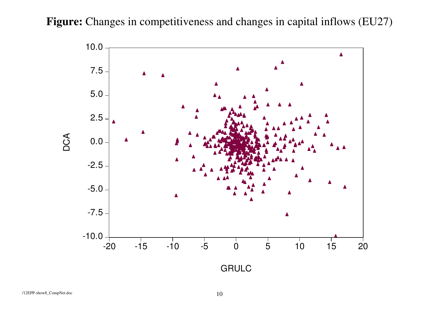Figure: Changes in competitiveness and changes in capital inflows (EU27)

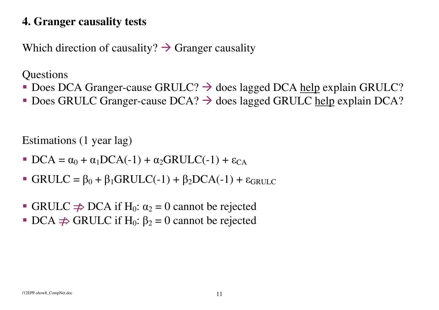## **4. Granger causality tests**

Which direction of causality?  $\rightarrow$  Granger causality

**Questions** 

- Does DCA Granger-cause GRULC?  $\rightarrow$  does lagged DCA help explain GRULC?
- Does GRULC Granger-cause DCA?  $\rightarrow$  does lagged GRULC help explain DCA?

Estimations (1 year lag)

- $\bullet$  DCA =  $\alpha_0$  +  $\alpha_1$ DCA(-1) +  $\alpha_2$ GRULC(-1) +  $\varepsilon_{CA}$
- GRULC =  $\beta_0 + \beta_1$ GRULC(-1) +  $\beta_2$ DCA(-1) +  $\varepsilon_{GRULC}$
- GRULC  $\Rightarrow$  DCA if H<sub>0</sub>:  $\alpha_2 = 0$  cannot be rejected
- **•** DCA  $\Rightarrow$  GRULC if H<sub>0</sub>:  $\beta_2 = 0$  cannot be rejected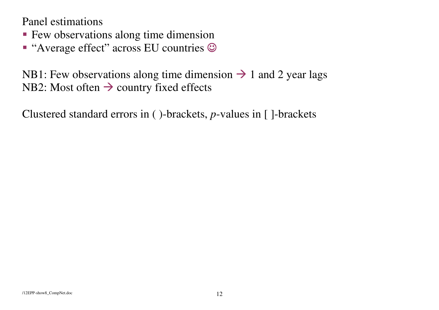Panel estimations

- **Few observations along time dimension**
- " "Average effect" across EU countries  $\odot$

NB1: Few observations along time dimension  $\rightarrow$  1 and 2 year lags NB2: Most often  $\rightarrow$  country fixed effects

Clustered standard errors in ( )-brackets, *p*-values in [ ]-brackets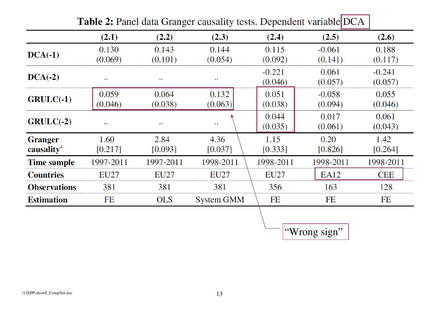| <b>Explore the compact of the compact of the condition of the compact of <math>\mathcal{L}</math></b> |                     |                     |                     |                     |                     |                     |  |
|-------------------------------------------------------------------------------------------------------|---------------------|---------------------|---------------------|---------------------|---------------------|---------------------|--|
|                                                                                                       | (2.1)               | (2.2)               | (2.3)               | (2.4)               | (2.5)               | (2.6)               |  |
| $DCA(-1)$                                                                                             | 0.130<br>(0.069)    | 0.143<br>(0.101)    | 0.144<br>(0.054)    | 0.115<br>(0.092)    | $-0.061$<br>(0.141) | 0.188<br>(0.117)    |  |
| $DCA(-2)$                                                                                             | $\bullet$ $\bullet$ | $\bullet$ $\bullet$ | $\bullet$ $\bullet$ | $-0.221$<br>(0.046) | 0.061<br>(0.057)    | $-0.241$<br>(0.057) |  |
| $GRULC(-1)$                                                                                           | 0.059<br>(0.046)    | 0.064<br>(0.038)    | 0.132<br>(0.063)    | 0.051<br>(0.038)    | $-0.058$<br>(0.094) | 0.055<br>(0.046)    |  |
| $GRULC(-2)$                                                                                           | $\bullet$ $\bullet$ | $\bullet$ $\bullet$ | $\bullet$ $\bullet$ | 0.044<br>(0.035)    | 0.017<br>(0.061)    | 0.061<br>(0.043)    |  |
| <b>Granger</b><br>causality <sup>a</sup>                                                              | 1.60<br>[0.217]     | 2.84<br>[0.093]     | 4.36<br>[0.037]     | 1.15<br>[0.333]     | 0.20<br>[0.826]     | 1.42<br>[0.264]     |  |
| <b>Time sample</b>                                                                                    | 1997-2011           | 1997-2011           | 1998-2011           | 1998-2011           | 1998-2011           | 1998-2011           |  |
| <b>Countries</b>                                                                                      | <b>EU27</b>         | <b>EU27</b>         | <b>EU27</b>         | <b>EU27</b>         | EA12                | <b>CEE</b>          |  |
| <b>Observations</b>                                                                                   | 381                 | 381                 | 381                 | 356                 | 163                 | 128                 |  |
| <b>Estimation</b>                                                                                     | FE                  | <b>OLS</b>          | <b>System GMM</b>   | FE                  | <b>FE</b>           | FE                  |  |

| <b>Table 2:</b> Panel data Granger causality tests. Dependent variable DCA |
|----------------------------------------------------------------------------|
|----------------------------------------------------------------------------|

"Wrong sign"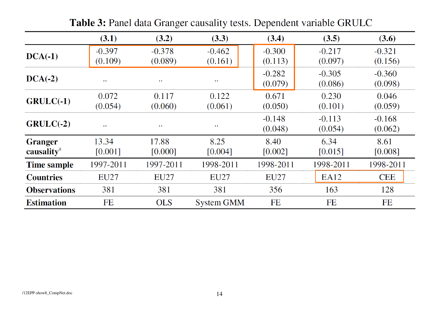|                                          | (3.1)                | (3.2)               | (3.3)               | (3.4)               | (3.5)               | (3.6)               |
|------------------------------------------|----------------------|---------------------|---------------------|---------------------|---------------------|---------------------|
| $DCA(-1)$                                | $-0.397$<br>(0.109)  | $-0.378$<br>(0.089) | $-0.462$<br>(0.161) | $-0.300$<br>(0.113) | $-0.217$<br>(0.097) | $-0.321$<br>(0.156) |
| $DCA(-2)$                                | $\ddot{\phantom{a}}$ | $\bullet$ $\bullet$ | $\bullet$ $\bullet$ | $-0.282$<br>(0.079) | $-0.305$<br>(0.086) | $-0.360$<br>(0.098) |
| $GRULC(-1)$                              | 0.072<br>(0.054)     | 0.117<br>(0.060)    | 0.122<br>(0.061)    | 0.671<br>(0.050)    | 0.230<br>(0.101)    | 0.046<br>(0.059)    |
| $GRULC(-2)$                              | $\ddot{\phantom{a}}$ | $\bullet$ $\bullet$ | $\bullet$ $\bullet$ | $-0.148$<br>(0.048) | $-0.113$<br>(0.054) | $-0.168$<br>(0.062) |
| <b>Granger</b><br>causality <sup>a</sup> | 13.34<br>[0.001]     | 17.88<br>[0.000]    | 8.25<br>[0.004]     | 8.40<br>[0.002]     | 6.34<br>[0.015]     | 8.61<br>[0.008]     |
| <b>Time sample</b>                       | 1997-2011            | 1997-2011           | 1998-2011           | 1998-2011           | 1998-2011           | 1998-2011           |
| <b>Countries</b>                         | <b>EU27</b>          | <b>EU27</b>         | <b>EU27</b>         | <b>EU27</b>         | EA12                | <b>CEE</b>          |
| <b>Observations</b>                      | 381                  | 381                 | 381                 | 356                 | 163                 | 128                 |
| <b>Estimation</b>                        | FE                   | <b>OLS</b>          | <b>System GMM</b>   | FE                  | FE                  | FE                  |

Table 3: Panel data Granger causality tests. Dependent variable GRULC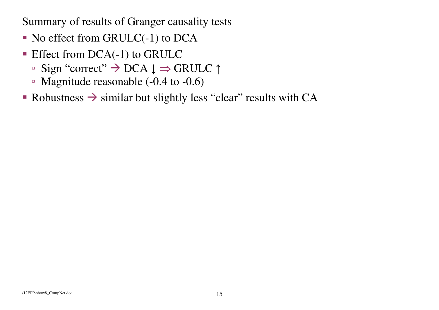Summary of results of Granger causality tests

- $\blacksquare$  No effect from GRULC(-1) to DCA
- Effect from DCA(-1) to GRULC
	- □ Sign "correct"  $\rightarrow$  DCA  $\downarrow$   $\Rightarrow$  GRULC  $\uparrow$
	- Magnitude reasonable (-0.4 to -0.6)
- Robustness  $\rightarrow$  similar but slightly less "clear" results with CA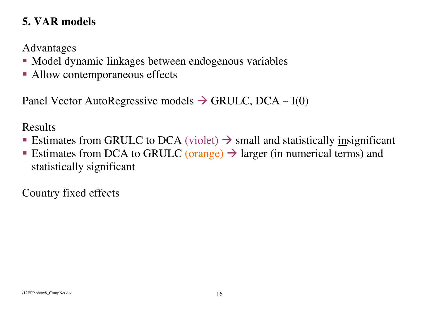## **5. VAR models**

Advantages

- Model dynamic linkages between endogenous variables
- Allow contemporaneous effects

Panel Vector AutoRegressive models → GRULC, DCA ~ I(0)

Results

- Estimates from GRULC to DCA (violet)  $\rightarrow$  small and statistically <u>in</u>significant
- Estimates from DCA to GRULC (orange)  $\rightarrow$  larger (in numerical terms) and statistically significant

Country fixed effects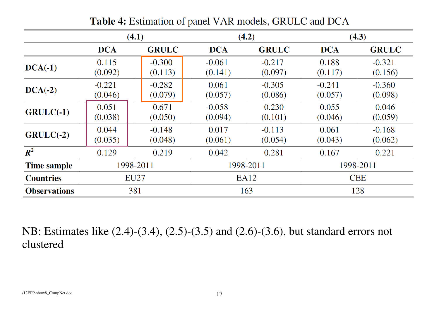|                     | (4.1)               |                     | (4.2)               |                     | (4.3)               |                     |
|---------------------|---------------------|---------------------|---------------------|---------------------|---------------------|---------------------|
|                     | <b>DCA</b>          | <b>GRULC</b>        | <b>DCA</b>          | <b>GRULC</b>        | <b>DCA</b>          | <b>GRULC</b>        |
| $DCA(-1)$           | 0.115<br>(0.092)    | $-0.300$<br>(0.113) | $-0.061$<br>(0.141) | $-0.217$<br>(0.097) | 0.188<br>(0.117)    | $-0.321$<br>(0.156) |
| $DCA(-2)$           | $-0.221$<br>(0.046) | $-0.282$<br>(0.079) | 0.061<br>(0.057)    | $-0.305$<br>(0.086) | $-0.241$<br>(0.057) | $-0.360$<br>(0.098) |
| $GRULC(-1)$         | 0.051<br>(0.038)    | 0.671<br>(0.050)    | $-0.058$<br>(0.094) | 0.230<br>(0.101)    | 0.055<br>(0.046)    | 0.046<br>(0.059)    |
| $GRULC(-2)$         | 0.044<br>(0.035)    | $-0.148$<br>(0.048) | 0.017<br>(0.061)    | $-0.113$<br>(0.054) | 0.061<br>(0.043)    | $-0.168$<br>(0.062) |
| $R^2$               | 0.129               | 0.219               | 0.042               | 0.281               | 0.167               | 0.221               |
| <b>Time sample</b>  | 1998-2011           |                     | 1998-2011           |                     | 1998-2011           |                     |
| <b>Countries</b>    | EU27                |                     | EA12                |                     | <b>CEE</b>          |                     |
| <b>Observations</b> | 381                 |                     | 163                 |                     | 128                 |                     |

Table 4: Estimation of panel VAR models, GRULC and DCA

NB: Estimates like (2.4)-(3.4), (2.5)-(3.5) and (2.6)-(3.6), but standard errors not clustered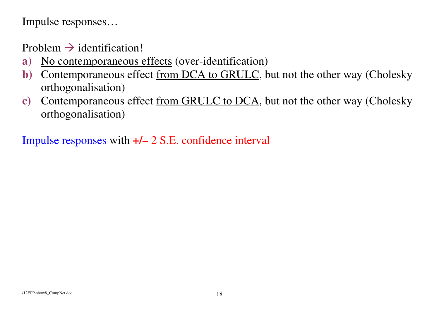Impulse responses…

Problem  $\rightarrow$  identification!

- **a)**No contemporaneous effects (over-identification)
- **b)**Contemporaneous effect from DCA to GRULC, but not the other way (Cholesky orthogonalisation)
- **c)** Contemporaneous effect from GRULC to DCA, but not the other way (Cholesky orthogonalisation)

Impulse responses with **+/–** 2 S.E. confidence interval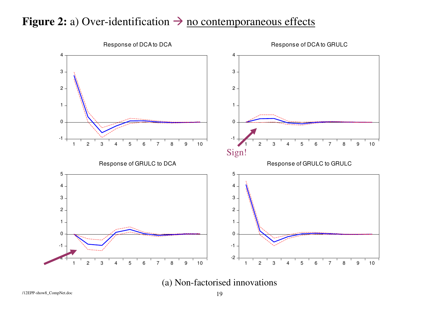## **Figure 2:** a) Over-identification  $\rightarrow$  <u>no contemporaneous effects</u>



(a) Non-factorised innovations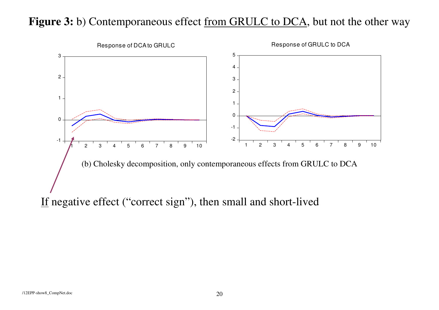## Figure 3: b) Contemporaneous effect <u>from GRULC to DCA</u>, but not the other way

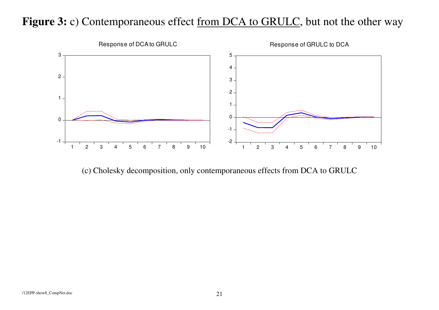## Figure 3: c) Contemporaneous effect <u>from DCA to GRULC</u>, but not the other way



(c) Cholesky decomposition, only contemporaneous effects from DCA to GRULC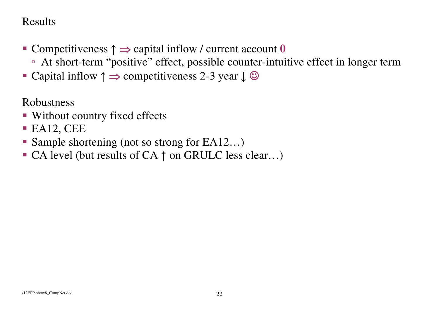## Results

- Competitiveness ↑ <sup>⇒</sup> capital inflow / current account **<sup>0</sup>**
	- At short-term "positive" effect, possible counter-intuitive effect in longer term
- Capital inflow  $\uparrow \Rightarrow$  competitiveness 2-3 year  $\downarrow \circledcirc$

Robustness

- Without country fixed effects
- $\blacksquare$  EA12, CEE
- Sample shortening (not so strong for EA12...)
- CA level (but results of  $CA \uparrow$  on GRULC less clear...)